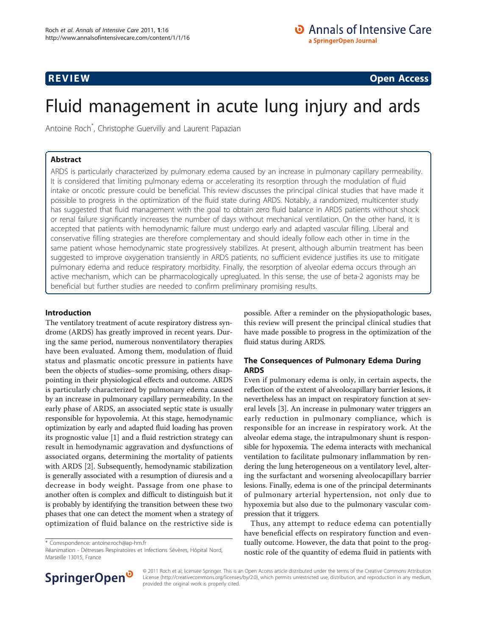**REVIEW CONSTRUCTION CONSTRUCTION CONSTRUCTS** 

# Fluid management in acute lung injury and ards

Antoine Roch\* , Christophe Guervilly and Laurent Papazian

# Abstract

ARDS is particularly characterized by pulmonary edema caused by an increase in pulmonary capillary permeability. It is considered that limiting pulmonary edema or accelerating its resorption through the modulation of fluid intake or oncotic pressure could be beneficial. This review discusses the principal clinical studies that have made it possible to progress in the optimization of the fluid state during ARDS. Notably, a randomized, multicenter study has suggested that fluid management with the goal to obtain zero fluid balance in ARDS patients without shock or renal failure significantly increases the number of days without mechanical ventilation. On the other hand, it is accepted that patients with hemodynamic failure must undergo early and adapted vascular filling. Liberal and conservative filling strategies are therefore complementary and should ideally follow each other in time in the same patient whose hemodynamic state progressively stabilizes. At present, although albumin treatment has been suggested to improve oxygenation transiently in ARDS patients, no sufficient evidence justifies its use to mitigate pulmonary edema and reduce respiratory morbidity. Finally, the resorption of alveolar edema occurs through an active mechanism, which can be pharmacologically upregluated. In this sense, the use of beta-2 agonists may be beneficial but further studies are needed to confirm preliminary promising results.

# Introduction

The ventilatory treatment of acute respiratory distress syndrome (ARDS) has greatly improved in recent years. During the same period, numerous nonventilatory therapies have been evaluated. Among them, modulation of fluid status and plasmatic oncotic pressure in patients have been the objects of studies–some promising, others disappointing in their physiological effects and outcome. ARDS is particularly characterized by pulmonary edema caused by an increase in pulmonary capillary permeability. In the early phase of ARDS, an associated septic state is usually responsible for hypovolemia. At this stage, hemodynamic optimization by early and adapted fluid loading has proven its prognostic value [\[1](#page-5-0)] and a fluid restriction strategy can result in hemodynamic aggravation and dysfunctions of associated organs, determining the mortality of patients with ARDS [[2\]](#page-5-0). Subsequently, hemodynamic stabilization is generally associated with a resumption of diuresis and a decrease in body weight. Passage from one phase to another often is complex and difficult to distinguish but it is probably by identifying the transition between these two phases that one can detect the moment when a strategy of optimization of fluid balance on the restrictive side is

possible. After a reminder on the physiopathologic bases, this review will present the principal clinical studies that have made possible to progress in the optimization of the fluid status during ARDS.

# The Consequences of Pulmonary Edema During ARDS

Even if pulmonary edema is only, in certain aspects, the reflection of the extent of alveolocapillary barrier lesions, it nevertheless has an impact on respiratory function at several levels [\[3](#page-5-0)]. An increase in pulmonary water triggers an early reduction in pulmonary compliance, which is responsible for an increase in respiratory work. At the alveolar edema stage, the intrapulmonary shunt is responsible for hypoxemia. The edema interacts with mechanical ventilation to facilitate pulmonary inflammation by rendering the lung heterogeneous on a ventilatory level, altering the surfactant and worsening alveolocapillary barrier lesions. Finally, edema is one of the principal determinants of pulmonary arterial hypertension, not only due to hypoxemia but also due to the pulmonary vascular compression that it triggers.

Thus, any attempt to reduce edema can potentially have beneficial effects on respiratory function and eventually outcome. However, the data that point to the prognostic role of the quantity of edema fluid in patients with



© 2011 Roch et al; licensee Springer. This is an Open Access article distributed under the terms of the Creative Commons Attribution License [\(http://creativecommons.org/licenses/by/2.0](http://creativecommons.org/licenses/by/2.0)), which permits unrestricted use, distribution, and reproduction in any medium, provided the original work is properly cited.

<sup>\*</sup> Correspondence: [antoine.roch@ap-hm.fr](mailto:antoine.roch@ap-hm.fr)

Réanimation - Détresses Respiratoires et Infections Sévères, Hôpital Nord, Marseille 13015, France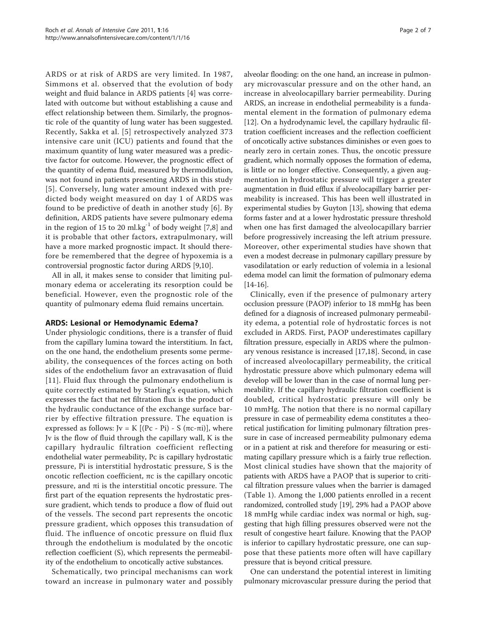ARDS or at risk of ARDS are very limited. In 1987, Simmons et al. observed that the evolution of body weight and fluid balance in ARDS patients [[4\]](#page-5-0) was correlated with outcome but without establishing a cause and effect relationship between them. Similarly, the prognostic role of the quantity of lung water has been suggested. Recently, Sakka et al. [[5\]](#page-5-0) retrospectively analyzed 373 intensive care unit (ICU) patients and found that the maximum quantity of lung water measured was a predictive factor for outcome. However, the prognostic effect of the quantity of edema fluid, measured by thermodilution, was not found in patients presenting ARDS in this study [[5](#page-5-0)]. Conversely, lung water amount indexed with predicted body weight measured on day 1 of ARDS was found to be predictive of death in another study [[6\]](#page-5-0). By definition, ARDS patients have severe pulmonary edema in the region of 15 to 20 ml.kg<sup>-1</sup> of body weight [\[7](#page-5-0),[8\]](#page-5-0) and it is probable that other factors, extrapulmonary, will have a more marked prognostic impact. It should therefore be remembered that the degree of hypoxemia is a controversial prognostic factor during ARDS [\[9,10\]](#page-5-0).

All in all, it makes sense to consider that limiting pulmonary edema or accelerating its resorption could be beneficial. However, even the prognostic role of the quantity of pulmonary edema fluid remains uncertain.

#### ARDS: Lesional or Hemodynamic Edema?

Under physiologic conditions, there is a transfer of fluid from the capillary lumina toward the interstitium. In fact, on the one hand, the endothelium presents some permeability, the consequences of the forces acting on both sides of the endothelium favor an extravasation of fluid [[11](#page-5-0)]. Fluid flux through the pulmonary endothelium is quite correctly estimated by Starling's equation, which expresses the fact that net filtration flux is the product of the hydraulic conductance of the exchange surface barrier by effective filtration pressure. The equation is expressed as follows: Jv = K [(Pc - Pi) - S (πc-πi)], where Jv is the flow of fluid through the capillary wall, K is the capillary hydraulic filtration coefficient reflecting endothelial water permeability, Pc is capillary hydrostatic pressure, Pi is interstitial hydrostatic pressure, S is the oncotic reflection coefficient, πc is the capillary oncotic pressure, and πi is the interstitial oncotic pressure. The first part of the equation represents the hydrostatic pressure gradient, which tends to produce a flow of fluid out of the vessels. The second part represents the oncotic pressure gradient, which opposes this transudation of fluid. The influence of oncotic pressure on fluid flux through the endothelium is modulated by the oncotic reflection coefficient (S), which represents the permeability of the endothelium to oncotically active substances.

Schematically, two principal mechanisms can work toward an increase in pulmonary water and possibly alveolar flooding: on the one hand, an increase in pulmonary microvascular pressure and on the other hand, an increase in alveolocapillary barrier permeability. During ARDS, an increase in endothelial permeability is a fundamental element in the formation of pulmonary edema [[12\]](#page-5-0). On a hydrodynamic level, the capillary hydraulic filtration coefficient increases and the reflection coefficient of oncotically active substances diminishes or even goes to nearly zero in certain zones. Thus, the oncotic pressure gradient, which normally opposes the formation of edema, is little or no longer effective. Consequently, a given augmentation in hydrostatic pressure will trigger a greater augmentation in fluid efflux if alveolocapillary barrier permeability is increased. This has been well illustrated in experimental studies by Guyton [\[13](#page-5-0)], showing that edema forms faster and at a lower hydrostatic pressure threshold when one has first damaged the alveolocapillary barrier before progressively increasing the left atrium pressure. Moreover, other experimental studies have shown that even a modest decrease in pulmonary capillary pressure by vasodilatation or early reduction of volemia in a lesional edema model can limit the formation of pulmonary edema [[14](#page-5-0)-[16](#page-5-0)].

Clinically, even if the presence of pulmonary artery occlusion pressure (PAOP) inferior to 18 mmHg has been defined for a diagnosis of increased pulmonary permeability edema, a potential role of hydrostatic forces is not excluded in ARDS. First, PAOP underestimates capillary filtration pressure, especially in ARDS where the pulmonary venous resistance is increased [[17,18](#page-5-0)]. Second, in case of increased alveolocapillary permeability, the critical hydrostatic pressure above which pulmonary edema will develop will be lower than in the case of normal lung permeability. If the capillary hydraulic filtration coefficient is doubled, critical hydrostatic pressure will only be 10 mmHg. The notion that there is no normal capillary pressure in case of permeability edema constitutes a theoretical justification for limiting pulmonary filtration pressure in case of increased permeability pulmonary edema or in a patient at risk and therefore for measuring or estimating capillary pressure which is a fairly true reflection. Most clinical studies have shown that the majority of patients with ARDS have a PAOP that is superior to critical filtration pressure values when the barrier is damaged (Table [1](#page-2-0)). Among the 1,000 patients enrolled in a recent randomized, controlled study [[19\]](#page-5-0), 29% had a PAOP above 18 mmHg while cardiac index was normal or high, suggesting that high filling pressures observed were not the result of congestive heart failure. Knowing that the PAOP is inferior to capillary hydrostatic pressure, one can suppose that these patients more often will have capillary pressure that is beyond critical pressure.

One can understand the potential interest in limiting pulmonary microvascular pressure during the period that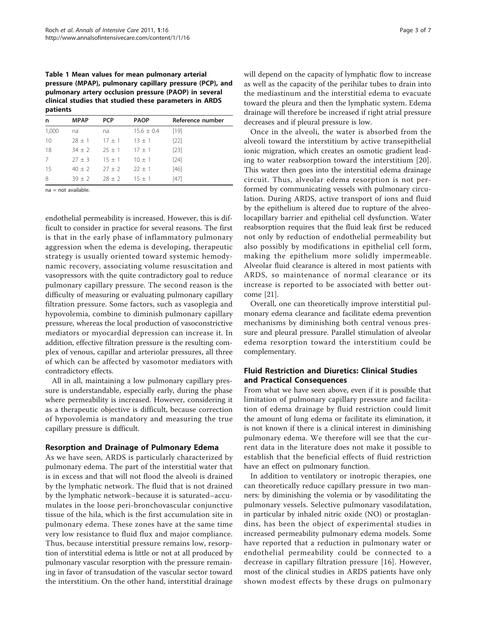<span id="page-2-0"></span>Table 1 Mean values for mean pulmonary arterial pressure (MPAP), pulmonary capillary pressure (PCP), and pulmonary artery occlusion pressure (PAOP) in several clinical studies that studied these parameters in ARDS patients

| n     | <b>MPAP</b> | <b>PCP</b> | <b>PAOP</b>    | Reference number |
|-------|-------------|------------|----------------|------------------|
| 1,000 | na          | na         | $15.6 \pm 0.4$ | [19]             |
| 10    | $28 + 1$    | $17 \pm 1$ | $13 \pm 1$     | $[22]$           |
| 18    | $34 + 2$    | $25 + 1$   | $17 \pm 1$     | $[23]$           |
| 7     | $27 + 3$    | $15 + 1$   | $10 + 1$       | $[24]$           |
| 15    | $40 + 2$    | $27 + 2$   | $22 + 1$       | $[46]$           |
| 8     | $39 + 2$    | $28 + 2$   | $15 + 1$       | [47]             |

na = not available.

endothelial permeability is increased. However, this is difficult to consider in practice for several reasons. The first is that in the early phase of inflammatory pulmonary aggression when the edema is developing, therapeutic strategy is usually oriented toward systemic hemodynamic recovery, associating volume resuscitation and vasopressors with the quite contradictory goal to reduce pulmonary capillary pressure. The second reason is the difficulty of measuring or evaluating pulmonary capillary filtration pressure. Some factors, such as vasoplegia and hypovolemia, combine to diminish pulmonary capillary pressure, whereas the local production of vasoconstrictive mediators or myocardial depression can increase it. In addition, effective filtration pressure is the resulting complex of venous, capillar and arteriolar pressures, all three of which can be affected by vasomotor mediators with contradictory effects.

All in all, maintaining a low pulmonary capillary pressure is understandable, especially early, during the phase where permeability is increased. However, considering it as a therapeutic objective is difficult, because correction of hypovolemia is mandatory and measuring the true capillary pressure is difficult.

#### Resorption and Drainage of Pulmonary Edema

As we have seen, ARDS is particularly characterized by pulmonary edema. The part of the interstitial water that is in excess and that will not flood the alveoli is drained by the lymphatic network. The fluid that is not drained by the lymphatic network–because it is saturated–accumulates in the loose peri-bronchovascular conjunctive tissue of the hila, which is the first accumulation site in pulmonary edema. These zones have at the same time very low resistance to fluid flux and major compliance. Thus, because interstitial pressure remains low, resorption of interstitial edema is little or not at all produced by pulmonary vascular resorption with the pressure remaining in favor of transudation of the vascular sector toward the interstitium. On the other hand, interstitial drainage will depend on the capacity of lymphatic flow to increase as well as the capacity of the perihilar tubes to drain into the mediastinum and the interstitial edema to evacuate toward the pleura and then the lymphatic system. Edema drainage will therefore be increased if right atrial pressure decreases and if pleural pressure is low.

Once in the alveoli, the water is absorbed from the alveoli toward the interstitium by active transepithelial ionic migration, which creates an osmotic gradient leading to water reabsorption toward the interstitium [[20](#page-5-0)]. This water then goes into the interstitial edema drainage circuit. Thus, alveolar edema resorption is not performed by communicating vessels with pulmonary circulation. During ARDS, active transport of ions and fluid by the epithelium is altered due to rupture of the alveolocapillary barrier and epithelial cell dysfunction. Water reabsorption requires that the fluid leak first be reduced not only by reduction of endothelial permeability but also possibly by modifications in epithelial cell form, making the epithelium more solidly impermeable. Alveolar fluid clearance is altered in most patients with ARDS, so maintenance of normal clearance or its increase is reported to be associated with better outcome [\[21\]](#page-5-0).

Overall, one can theoretically improve interstitial pulmonary edema clearance and facilitate edema prevention mechanisms by diminishing both central venous pressure and pleural pressure. Parallel stimulation of alveolar edema resorption toward the interstitium could be complementary.

### Fluid Restriction and Diuretics: Clinical Studies and Practical Consequences

From what we have seen above, even if it is possible that limitation of pulmonary capillary pressure and facilitation of edema drainage by fluid restriction could limit the amount of lung edema or facilitate its elimination, it is not known if there is a clinical interest in diminishing pulmonary edema. We therefore will see that the current data in the literature does not make it possible to establish that the beneficial effects of fluid restriction have an effect on pulmonary function.

In addition to ventilatory or inotropic therapies, one can theoretically reduce capillary pressure in two manners: by diminishing the volemia or by vasodilitating the pulmonary vessels. Selective pulmonary vasodilatation, in particular by inhaled nitric oxide (NO) or prostaglandins, has been the object of experimental studies in increased permeability pulmonary edema models. Some have reported that a reduction in pulmonary water or endothelial permeability could be connected to a decrease in capillary filtration pressure [\[16](#page-5-0)]. However, most of the clinical studies in ARDS patients have only shown modest effects by these drugs on pulmonary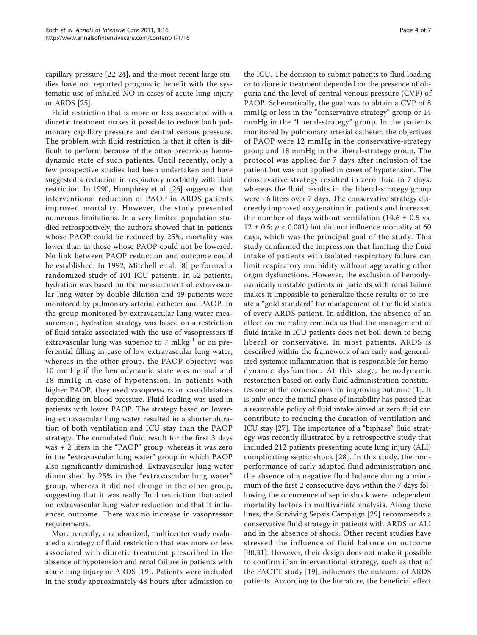capillary pressure [\[22](#page-5-0)-[24](#page-5-0)], and the most recent large studies have not reported prognostic benefit with the systematic use of inhaled NO in cases of acute lung injury or ARDS [\[25\]](#page-6-0).

Fluid restriction that is more or less associated with a diuretic treatment makes it possible to reduce both pulmonary capillary pressure and central venous pressure. The problem with fluid restriction is that it often is difficult to perform because of the often precarious hemodynamic state of such patients. Until recently, only a few prospective studies had been undertaken and have suggested a reduction in respiratory morbidity with fluid restriction. In 1990, Humphrey et al. [\[26](#page-6-0)] suggested that interventional reduction of PAOP in ARDS patients improved mortality. However, the study presented numerous limitations. In a very limited population studied retrospectively, the authors showed that in patients whose PAOP could be reduced by 25%, mortality was lower than in those whose PAOP could not be lowered. No link between PAOP reduction and outcome could be established. In 1992, Mitchell et al. [[8\]](#page-5-0) performed a randomized study of 101 ICU patients. In 52 patients, hydration was based on the measurement of extravascular lung water by double dilution and 49 patients were monitored by pulmonary arterial catheter and PAOP. In the group monitored by extravascular lung water measurement, hydration strategy was based on a restriction of fluid intake associated with the use of vasopressors if extravascular lung was superior to 7 ml.kg $^{-1}$  or on preferential filling in case of low extravascular lung water, whereas in the other group, the PAOP objective was 10 mmHg if the hemodynamic state was normal and 18 mmHg in case of hypotension. In patients with higher PAOP, they used vasopressors or vasodilatators depending on blood pressure. Fluid loading was used in patients with lower PAOP. The strategy based on lowering extravascular lung water resulted in a shorter duration of both ventilation and ICU stay than the PAOP strategy. The cumulated fluid result for the first 3 days was + 2 liters in the "PAOP" group, whereas it was zero in the "extravascular lung water" group in which PAOP also significantly diminished. Extravascular lung water diminished by 25% in the "extravascular lung water" group, whereas it did not change in the other group, suggesting that it was really fluid restriction that acted on extravascular lung water reduction and that it influenced outcome. There was no increase in vasopressor requirements.

More recently, a randomized, multicenter study evaluated a strategy of fluid restriction that was more or less associated with diuretic treatment prescribed in the absence of hypotension and renal failure in patients with acute lung injury or ARDS [[19\]](#page-5-0). Patients were included in the study approximately 48 hours after admission to

the ICU. The decision to submit patients to fluid loading or to diuretic treatment depended on the presence of oliguria and the level of central venous pressure (CVP) of PAOP. Schematically, the goal was to obtain a CVP of 8 mmHg or less in the "conservative-strategy" group or 14 mmHg in the "liberal-strategy" group. In the patients monitored by pulmonary arterial catheter, the objectives of PAOP were 12 mmHg in the conservative-strategy group and 18 mmHg in the liberal-strategy group. The protocol was applied for 7 days after inclusion of the patient but was not applied in cases of hypotension. The conservative strategy resulted in zero fluid in 7 days, whereas the fluid results in the liberal-strategy group were +6 liters over 7 days. The conservative strategy discreetly improved oxygenation in patients and increased the number of days without ventilation  $(14.6 \pm 0.5 \text{ vs.})$  $12 \pm 0.5$ ;  $p < 0.001$ ) but did not influence mortality at 60 days, which was the principal goal of the study. This study confirmed the impression that limiting the fluid intake of patients with isolated respiratory failure can limit respiratory morbidity without aggravating other organ dysfunctions. However, the exclusion of hemodynamically unstable patients or patients with renal failure makes it impossible to generalize these results or to create a "gold standard" for management of the fluid status of every ARDS patient. In addition, the absence of an effect on mortality reminds us that the management of fluid intake in ICU patients does not boil down to being liberal or conservative. In most patients, ARDS is described within the framework of an early and generalized systemic inflammation that is responsible for hemodynamic dysfunction. At this stage, hemodynamic restoration based on early fluid administration constitutes one of the cornerstones for improving outcome [\[1\]](#page-5-0). It is only once the initial phase of instability has passed that a reasonable policy of fluid intake aimed at zero fluid can contribute to reducing the duration of ventilation and ICU stay [[27](#page-6-0)]. The importance of a "biphase" fluid strategy was recently illustrated by a retrospective study that included 212 patients presenting acute lung injury (ALI) complicating septic shock [[28](#page-6-0)]. In this study, the nonperformance of early adapted fluid administration and the absence of a negative fluid balance during a minimum of the first 2 consecutive days within the 7 days following the occurrence of septic shock were independent mortality factors in multivariate analysis. Along these lines, the Surviving Sepsis Campaign [\[29](#page-6-0)] recommends a conservative fluid strategy in patients with ARDS or ALI and in the absence of shock. Other recent studies have stressed the influence of fluid balance on outcome [[30,31](#page-6-0)]. However, their design does not make it possible to confirm if an interventional strategy, such as that of the FACTT study [[19](#page-5-0)], influences the outcome of ARDS patients. According to the literature, the beneficial effect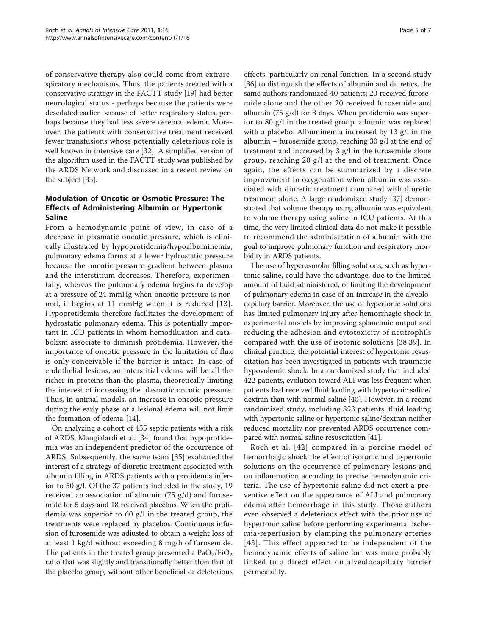of conservative therapy also could come from extrarespiratory mechanisms. Thus, the patients treated with a conservative strategy in the FACTT study [\[19\]](#page-5-0) had better neurological status - perhaps because the patients were desedated earlier because of better respiratory status, perhaps because they had less severe cerebral edema. Moreover, the patients with conservative treatment received fewer transfusions whose potentially deleterious role is well known in intensive care [\[32](#page-6-0)]. A simplified version of the algorithm used in the FACTT study was published by the ARDS Network and discussed in a recent review on the subject [[33](#page-6-0)].

### Modulation of Oncotic or Osmotic Pressure: The Effects of Administering Albumin or Hypertonic Saline

From a hemodynamic point of view, in case of a decrease in plasmatic oncotic pressure, which is clinically illustrated by hypoprotidemia/hypoalbuminemia, pulmonary edema forms at a lower hydrostatic pressure because the oncotic pressure gradient between plasma and the interstitium decreases. Therefore, experimentally, whereas the pulmonary edema begins to develop at a pressure of 24 mmHg when oncotic pressure is normal, it begins at 11 mmHg when it is reduced [[13\]](#page-5-0). Hypoprotidemia therefore facilitates the development of hydrostatic pulmonary edema. This is potentially important in ICU patients in whom hemodiluation and catabolism associate to diminish protidemia. However, the importance of oncotic pressure in the limitation of flux is only conceivable if the barrier is intact. In case of endothelial lesions, an interstitial edema will be all the richer in proteins than the plasma, theoretically limiting the interest of increasing the plasmatic oncotic pressure. Thus, in animal models, an increase in oncotic pressure during the early phase of a lesional edema will not limit the formation of edema [\[14](#page-5-0)].

On analyzing a cohort of 455 septic patients with a risk of ARDS, Mangialardi et al. [[34](#page-6-0)] found that hypoprotidemia was an independent predictor of the occurrence of ARDS. Subsequently, the same team [[35\]](#page-6-0) evaluated the interest of a strategy of diuretic treatment associated with albumin filling in ARDS patients with a protidemia inferior to 50 g/l. Of the 37 patients included in the study, 19 received an association of albumin (75  $g/d$ ) and furosemide for 5 days and 18 received placebos. When the protidemia was superior to 60 g/l in the treated group, the treatments were replaced by placebos. Continuous infusion of furosemide was adjusted to obtain a weight loss of at least 1 kg/d without exceeding 8 mg/h of furosemide. The patients in the treated group presented a  $PaO<sub>2</sub>/FiO<sub>2</sub>$ ratio that was slightly and transitionally better than that of the placebo group, without other beneficial or deleterious

effects, particularly on renal function. In a second study [[36](#page-6-0)] to distinguish the effects of albumin and diuretics, the same authors randomized 40 patients; 20 received furosemide alone and the other 20 received furosemide and albumin (75 g/d) for 3 days. When protidemia was superior to 80 g/l in the treated group, albumin was replaced with a placebo. Albuminemia increased by 13 g/l in the albumin + furosemide group, reaching 30  $g/l$  at the end of treatment and increased by 3 g/l in the furosemide alone group, reaching 20 g/l at the end of treatment. Once again, the effects can be summarized by a discrete improvement in oxygenation when albumin was associated with diuretic treatment compared with diuretic treatment alone. A large randomized study [[37\]](#page-6-0) demonstrated that volume therapy using albumin was equivalent to volume therapy using saline in ICU patients. At this time, the very limited clinical data do not make it possible to recommend the administration of albumin with the goal to improve pulmonary function and respiratory morbidity in ARDS patients.

The use of hyperosmolar filling solutions, such as hypertonic saline, could have the advantage, due to the limited amount of fluid administered, of limiting the development of pulmonary edema in case of an increase in the alveolocapillary barrier. Moreover, the use of hypertonic solutions has limited pulmonary injury after hemorrhagic shock in experimental models by improving splanchnic output and reducing the adhesion and cytotoxicity of neutrophils compared with the use of isotonic solutions [\[38](#page-6-0),[39\]](#page-6-0). In clinical practice, the potential interest of hypertonic resuscitation has been investigated in patients with traumatic hypovolemic shock. In a randomized study that included 422 patients, evolution toward ALI was less frequent when patients had received fluid loading with hypertonic saline/ dextran than with normal saline [\[40\]](#page-6-0). However, in a recent randomized study, including 853 patients, fluid loading with hypertonic saline or hypertonic saline/dextran neither reduced mortality nor prevented ARDS occurrence compared with normal saline resuscitation [\[41\]](#page-6-0).

Roch et al. [[42](#page-6-0)] compared in a porcine model of hemorrhagic shock the effect of isotonic and hypertonic solutions on the occurrence of pulmonary lesions and on inflammation according to precise hemodynamic criteria. The use of hypertonic saline did not exert a preventive effect on the appearance of ALI and pulmonary edema after hemorrhage in this study. Those authors even observed a deleterious effect with the prior use of hypertonic saline before performing experimental ischemia-reperfusion by clamping the pulmonary arteries [[43](#page-6-0)]. This effect appeared to be independent of the hemodynamic effects of saline but was more probably linked to a direct effect on alveolocapillary barrier permeability.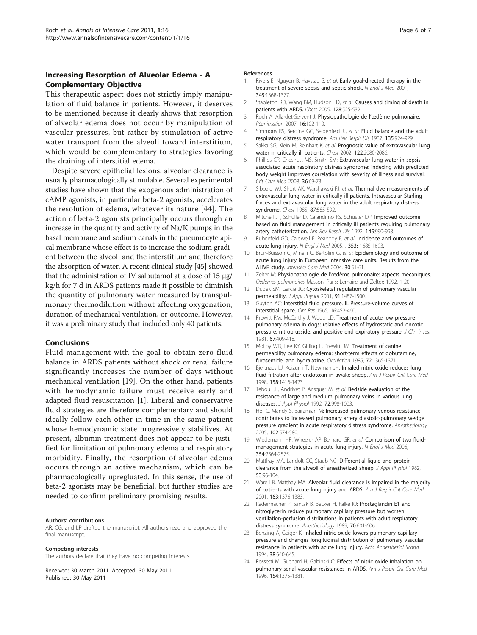# <span id="page-5-0"></span>Increasing Resorption of Alveolar Edema - A Complementary Objective

This therapeutic aspect does not strictly imply manipulation of fluid balance in patients. However, it deserves to be mentioned because it clearly shows that resorption of alveolar edema does not occur by manipulation of vascular pressures, but rather by stimulation of active water transport from the alveoli toward interstitium, which would be complementary to strategies favoring the draining of interstitial edema.

Despite severe epithelial lesions, alveolar clearance is usually pharmacologically stimulable. Several experimental studies have shown that the exogenous administration of cAMP agonists, in particular beta-2 agonists, accelerates the resolution of edema, whatever its nature [[44\]](#page-6-0). The action of beta-2 agonists principally occurs through an increase in the quantity and activity of Na/K pumps in the basal membrane and sodium canals in the pneumocyte apical membrane whose effect is to increase the sodium gradient between the alveoli and the interstitium and therefore the absorption of water. A recent clinical study [[45](#page-6-0)] showed that the administration of IV salbutamol at a dose of 15 μg/ kg/h for 7 d in ARDS patients made it possible to diminish the quantity of pulmonary water measured by transpulmonary thermodilution without affecting oxygenation, duration of mechanical ventilation, or outcome. However, it was a preliminary study that included only 40 patients.

#### Conclusions

Fluid management with the goal to obtain zero fluid balance in ARDS patients without shock or renal failure significantly increases the number of days without mechanical ventilation [19]. On the other hand, patients with hemodynamic failure must receive early and adapted fluid resuscitation [1]. Liberal and conservative fluid strategies are therefore complementary and should ideally follow each other in time in the same patient whose hemodynamic state progressively stabilizes. At present, albumin treatment does not appear to be justified for limitation of pulmonary edema and respiratory morbidity. Finally, the resorption of alveolar edema occurs through an active mechanism, which can be pharmacologically upregluated. In this sense, the use of beta-2 agonists may be beneficial, but further studies are needed to confirm preliminary promising results.

#### Authors' contributions

AR, CG, and LP drafted the manuscript. All authors read and approved the final manuscript.

The authors declare that they have no competing interests.

Received: 30 March 2011 Accepted: 30 May 2011 Published: 30 May 2011

- 1. Rivers E, Nguyen B, Havstad S, et al: [Early goal-directed therapy in the](http://www.ncbi.nlm.nih.gov/pubmed/11794169?dopt=Abstract) [treatment of severe sepsis and septic shock.](http://www.ncbi.nlm.nih.gov/pubmed/11794169?dopt=Abstract) N Engl J Med 2001, 345:1368-1377.
- 2. Stapleton RD, Wang BM, Hudson LD, et al: [Causes and timing of death in](http://www.ncbi.nlm.nih.gov/pubmed/16100134?dopt=Abstract) [patients with ARDS.](http://www.ncbi.nlm.nih.gov/pubmed/16100134?dopt=Abstract) Chest 2005, 128:525-532.
- 3. Roch A, Allardet-Servent J: [Physiopathologie de l](http://www.ncbi.nlm.nih.gov/pubmed/21626715?dopt=Abstract)'œdème pulmonaire. Réanimation 2007, 16:102-110.
- 4. Simmons RS, Berdine GG, Seidenfeld JJ, et al: [Fluid balance and the adult](http://www.ncbi.nlm.nih.gov/pubmed/3565940?dopt=Abstract) [respiratory distress syndrome.](http://www.ncbi.nlm.nih.gov/pubmed/3565940?dopt=Abstract) Am Rev Respir Dis 1987, 135:924-929.
- 5. Sakka SG, Klein M, Reinhart K, et al: [Prognostic value of extravascular lung](http://www.ncbi.nlm.nih.gov/pubmed/12475851?dopt=Abstract) [water in critically ill patients.](http://www.ncbi.nlm.nih.gov/pubmed/12475851?dopt=Abstract) Chest 2002, 122:2080-2086.
- 6. Phillips CR, Chesnutt MS, Smith SM: [Extravascular lung water in sepsis](http://www.ncbi.nlm.nih.gov/pubmed/18090369?dopt=Abstract) [associated acute respiratory distress syndrome: indexing with predicted](http://www.ncbi.nlm.nih.gov/pubmed/18090369?dopt=Abstract) [body weight improves correlation with severity of illness and survival.](http://www.ncbi.nlm.nih.gov/pubmed/18090369?dopt=Abstract) Crit Care Med 2008, 36:69-73.
- 7. Sibbald WJ, Short AK, Warshawski FJ, et al: [Thermal dye measurements of](http://www.ncbi.nlm.nih.gov/pubmed/3886313?dopt=Abstract) [extravascular lung water in critically ill patients. Intravascular Starling](http://www.ncbi.nlm.nih.gov/pubmed/3886313?dopt=Abstract) [forces and extravascular lung water in the adult respiratory distress](http://www.ncbi.nlm.nih.gov/pubmed/3886313?dopt=Abstract) [syndrome.](http://www.ncbi.nlm.nih.gov/pubmed/3886313?dopt=Abstract) Chest 1985, 87:585-592.
- 8. Mitchell JP, Schuller D, Calandrino FS, Schuster DP: [Improved outcome](http://www.ncbi.nlm.nih.gov/pubmed/1586077?dopt=Abstract) [based on fluid management in critically ill patients requiring pulmonary](http://www.ncbi.nlm.nih.gov/pubmed/1586077?dopt=Abstract) [artery catheterization.](http://www.ncbi.nlm.nih.gov/pubmed/1586077?dopt=Abstract) Am Rev Respir Dis 1992, 145:990-998.
- 9. Rubenfeld GD, Caldwell E, Peabody E, et al: Incidence and outcomes of acute lung injury. N Engl J Med 2005. , 353: 1685-1693.
- 10. Brun-Buisson C, Minelli C, Bertolini G, et al: [Epidemiology and outcome of](http://www.ncbi.nlm.nih.gov/pubmed/14569423?dopt=Abstract) [acute lung injury in European intensive care units. Results from the](http://www.ncbi.nlm.nih.gov/pubmed/14569423?dopt=Abstract) [ALIVE study.](http://www.ncbi.nlm.nih.gov/pubmed/14569423?dopt=Abstract) Intensive Care Med 2004, 30:51-61.
- 11. Zelter M: Physiopathologie de l'œ[dème pulmonaire: aspects mécaniques.](http://www.ncbi.nlm.nih.gov/pubmed/21625043?dopt=Abstract) Oedèmes pulmonaires Masson. Paris: Lemaire and Zelter; 1992, 1-20.
- 12. Dudek SM, Garcia JG: [Cytoskeletal regulation of pulmonary vascular](http://www.ncbi.nlm.nih.gov/pubmed/11568129?dopt=Abstract) [permeability.](http://www.ncbi.nlm.nih.gov/pubmed/11568129?dopt=Abstract) J Appl Physiol 2001, 91:1487-1500.
- 13. Guyton AC: [Interstitial fluid pressure. II. Pressure-volume curves of](http://www.ncbi.nlm.nih.gov/pubmed/14289154?dopt=Abstract) [interstitial](http://www.ncbi.nlm.nih.gov/pubmed/14289154?dopt=Abstract) space. Circ Res 1965, 16:452-460.
- 14. Prewitt RM, McCarthy J, Wood LD: [Treatment of acute low pressure](http://www.ncbi.nlm.nih.gov/pubmed/7007436?dopt=Abstract) [pulmonary edema in dogs: relative effects of hydrostatic and oncotic](http://www.ncbi.nlm.nih.gov/pubmed/7007436?dopt=Abstract) [pressure, nitroprusside, and positive end expiratory pressure.](http://www.ncbi.nlm.nih.gov/pubmed/7007436?dopt=Abstract) J Clin Invest 1981, 67:409-418.
- 15. Molloy WD, Lee KY, Girling L, Prewitt RM: [Treatment of canine](http://www.ncbi.nlm.nih.gov/pubmed/4064278?dopt=Abstract) [permeability pulmonary edema: short-term effects of dobutamine,](http://www.ncbi.nlm.nih.gov/pubmed/4064278?dopt=Abstract) [furosemide, and hydralazine.](http://www.ncbi.nlm.nih.gov/pubmed/4064278?dopt=Abstract) Circulation 1985, 72:1365-1371.
- 16. Bjertnaes LJ, Koizumi T, Newman JH: [Inhaled nitric oxide reduces lung](http://www.ncbi.nlm.nih.gov/pubmed/9817688?dopt=Abstract) [fluid filtration after endotoxin in awake sheep.](http://www.ncbi.nlm.nih.gov/pubmed/9817688?dopt=Abstract) Am J Respir Crit Care Med 1998, 158:1416-1423.
- 17. Teboul JL, Andrivet P, Ansquer M, et al: [Bedside evaluation of the](http://www.ncbi.nlm.nih.gov/pubmed/1568996?dopt=Abstract) [resistance of large and medium pulmonary veins in various lung](http://www.ncbi.nlm.nih.gov/pubmed/1568996?dopt=Abstract) [diseases.](http://www.ncbi.nlm.nih.gov/pubmed/1568996?dopt=Abstract) J Appl Physiol 1992, 72:998-1003.
- 18. Her C, Mandy S, Bairamian M: [Increased pulmonary venous resistance](http://www.ncbi.nlm.nih.gov/pubmed/15731596?dopt=Abstract) [contributes to increased pulmonary artery diastolic-pulmonary wedge](http://www.ncbi.nlm.nih.gov/pubmed/15731596?dopt=Abstract) [pressure gradient in acute respiratory distress syndrome.](http://www.ncbi.nlm.nih.gov/pubmed/15731596?dopt=Abstract) Anesthesiology 2005, 102:574-580.
- 19. Wiedemann HP, Wheeler AP, Bernard GR, et al: [Comparison of two fluid](http://www.ncbi.nlm.nih.gov/pubmed/16714767?dopt=Abstract)[management strategies in acute lung injury.](http://www.ncbi.nlm.nih.gov/pubmed/16714767?dopt=Abstract) N Engl J Med 2006, 354:2564-2575.
- 20. Matthay MA, Landolt CC, Staub NC: [Differential liquid and protein](http://www.ncbi.nlm.nih.gov/pubmed/7118651?dopt=Abstract) [clearance from the alveoli of anesthetized sheep.](http://www.ncbi.nlm.nih.gov/pubmed/7118651?dopt=Abstract) *J Appl Physiol* 1982, 53:96-104.
- 21. Ware LB, Matthay MA: [Alveolar fluid clearance is impaired in the majority](http://www.ncbi.nlm.nih.gov/pubmed/11371404?dopt=Abstract) [of patients with acute lung injury and ARDS.](http://www.ncbi.nlm.nih.gov/pubmed/11371404?dopt=Abstract) Am J Respir Crit Care Med 2001, 163:1376-1383.
- 22. Radermacher P, Santak B, Becker H, Falke KJ: [Prostaglandin E1 and](http://www.ncbi.nlm.nih.gov/pubmed/2494909?dopt=Abstract) [nitroglycerin reduce pulmonary capillary pressure but worsen](http://www.ncbi.nlm.nih.gov/pubmed/2494909?dopt=Abstract) [ventilation-perfusion distributions in patients with adult respiratory](http://www.ncbi.nlm.nih.gov/pubmed/2494909?dopt=Abstract) [distress syndrome.](http://www.ncbi.nlm.nih.gov/pubmed/2494909?dopt=Abstract) Anesthesiology 1989, 70:601-606.
- 23. Benzing A, Geiger K: [Inhaled nitric oxide lowers pulmonary capillary](http://www.ncbi.nlm.nih.gov/pubmed/7839770?dopt=Abstract) [pressure and changes longitudinal distribution of pulmonary vascular](http://www.ncbi.nlm.nih.gov/pubmed/7839770?dopt=Abstract) [resistance in patients with acute lung injury.](http://www.ncbi.nlm.nih.gov/pubmed/7839770?dopt=Abstract) Acta Anaesthesiol Scand 1994, 38:640-645.
- 24. Rossetti M, Guenard H, Gabinski C: [Effects of nitric oxide inhalation on](http://www.ncbi.nlm.nih.gov/pubmed/8912751?dopt=Abstract) [pulmonary serial vascular resistances in ARDS.](http://www.ncbi.nlm.nih.gov/pubmed/8912751?dopt=Abstract) Am J Respir Crit Care Med 1996, 154:1375-1381.